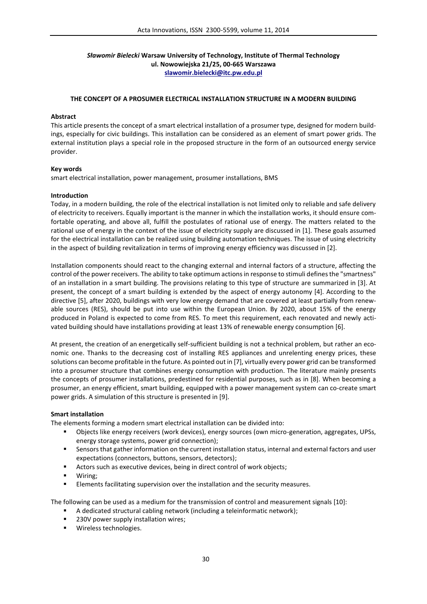# *Sławomir Bielecki* **Warsaw University of Technology, Institute of Thermal Technology ul. Nowowiejska 21/25, 00-665 Warszawa slawomir.bielecki@itc.pw.edu.pl**

### **THE CONCEPT OF A PROSUMER ELECTRICAL INSTALLATION STRUCTURE IN A MODERN BUILDING**

#### **Abstract**

This article presents the concept of a smart electrical installation of a prosumer type, designed for modern buildings, especially for civic buildings. This installation can be considered as an element of smart power grids. The external institution plays a special role in the proposed structure in the form of an outsourced energy service provider.

### **Key words**

smart electrical installation, power management, prosumer installations, BMS

#### **Introduction**

Today, in a modern building, the role of the electrical installation is not limited only to reliable and safe delivery of electricity to receivers. Equally important is the manner in which the installation works, it should ensure comfortable operating, and above all, fulfill the postulates of rational use of energy. The matters related to the rational use of energy in the context of the issue of electricity supply are discussed in [1]. These goals assumed for the electrical installation can be realized using building automation techniques. The issue of using electricity in the aspect of building revitalization in terms of improving energy efficiency was discussed in [2].

Installation components should react to the changing external and internal factors of a structure, affecting the control of the power receivers. The ability to take optimum actions in response to stimuli defines the "smartness" of an installation in a smart building. The provisions relating to this type of structure are summarized in [3]. At present, the concept of a smart building is extended by the aspect of energy autonomy [4]. According to the directive [5], after 2020, buildings with very low energy demand that are covered at least partially from renewable sources (RES), should be put into use within the European Union. By 2020, about 15% of the energy produced in Poland is expected to come from RES. To meet this requirement, each renovated and newly activated building should have installations providing at least 13% of renewable energy consumption [6].

At present, the creation of an energetically self-sufficient building is not a technical problem, but rather an economic one. Thanks to the decreasing cost of installing RES appliances and unrelenting energy prices, these solutions can become profitable in the future. As pointed out in [7], virtually every power grid can be transformed into a prosumer structure that combines energy consumption with production. The literature mainly presents the concepts of prosumer installations, predestined for residential purposes, such as in [8]. When becoming a prosumer, an energy efficient, smart building, equipped with a power management system can co-create smart power grids. A simulation of this structure is presented in [9].

#### **Smart installation**

The elements forming a modern smart electrical installation can be divided into:

- Objects like energy receivers (work devices), energy sources (own micro-generation, aggregates, UPSs, energy storage systems, power grid connection);
- Sensors that gather information on the current installation status, internal and external factors and user expectations (connectors, buttons, sensors, detectors);
- Actors such as executive devices, being in direct control of work objects;
- Wiring;
- **Elements facilitating supervision over the installation and the security measures.**

The following can be used as a medium for the transmission of control and measurement signals [10]:

- A dedicated structural cabling network (including a teleinformatic network);
- 230V power supply installation wires;
- **Wireless technologies.**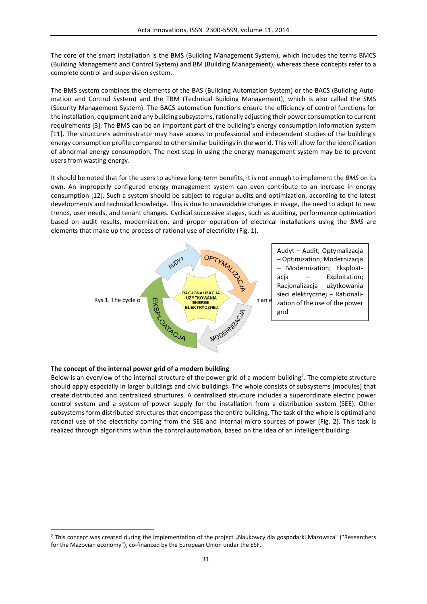The core of the smart installation is the BMS (Building Management System), which includes the terms BMCS (Building Management and Control System) and BM (Building Management), whereas these concepts refer to a complete control and supervision system.

The BMS system combines the elements of the BAS (Building Automation System) or the BACS (Building Automation and Control System) and the TBM (Technical Building Management), which is also called the SMS (Security Management System). The BACS automation functions ensure the efficiency of control functions for the installation, equipment and any building subsystems, rationally adjusting their power consumption to current requirements [3]. The BMS can be an important part of the building's energy consumption information system [11]. The structure's administrator may have access to professional and independent studies of the building's energy consumption profile compared to other similar buildings in the world. This will allow for the identification of abnormal energy consumption. The next step in using the energy management system may be to prevent users from wasting energy.

It should be noted that for the users to achieve long-term benefits, it is not enough to implement the *BMS* on its own. An improperly configured energy management system can even contribute to an increase in energy consumption [12]. Such a system should be subject to regular audits and optimization, according to the latest developments and technical knowledge. This is due to unavoidable changes in usage, the need to adapt to new trends, user needs, and tenant changes. Cyclical successive stages, such as auditing, performance optimization based on audit results, modernization, and proper operation of electrical installations using the *BMS* are elements that make up the process of rational use of electricity (Fig. 1).



# **The concept of the internal power grid of a modern building**

 $\overline{a}$ 

Below is an overview of the internal structure of the power grid of a modern building<sup>2</sup>. The complete structure should apply especially in larger buildings and civic buildings. The whole consists of subsystems (modules) that create distributed and centralized structures. A centralized structure includes a superordinate electric power control system and a system of power supply for the installation from a distribution system (SEE). Other subsystems form distributed structures that encompass the entire building. The task of the whole is optimal and rational use of the electricity coming from the SEE and internal micro sources of power (Fig. 2). This task is realized through algorithms within the control automation, based on the idea of an intelligent building.

<sup>&</sup>lt;sup>2</sup> This concept was created during the implementation of the project "Naukowcy dla gospodarki Mazowsza" ("Researchers for the Mazovian economy"), co-financed by the European Union under the ESF.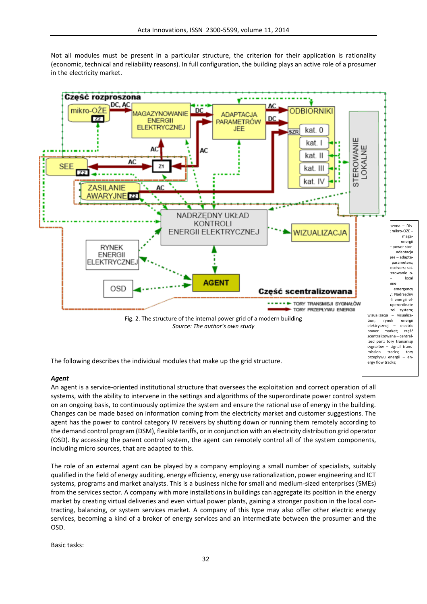Not all modules must be present in a particular structure, the criterion for their application is rationality (economic, technical and reliability reasons). In full configuration, the building plays an active role of a prosumer in the electricity market.



The following describes the individual modules that make up the grid structure.

# *Agent*

An agent is a service-oriented institutional structure that oversees the exploitation and correct operation of all systems, with the ability to intervene in the settings and algorithms of the superordinate power control system on an ongoing basis, to continuously optimize the system and ensure the rational use of energy in the building. Changes can be made based on information coming from the electricity market and customer suggestions. The agent has the power to control category IV receivers by shutting down or running them remotely according to the demand control program (DSM), flexible tariffs, or in conjunction with an electricity distribution grid operator (OSD). By accessing the parent control system, the agent can remotely control all of the system components, including micro sources, that are adapted to this.

ergy flow tracks;

The role of an external agent can be played by a company employing a small number of specialists, suitably qualified in the field of energy auditing, energy efficiency, energy use rationalization, power engineering and ICT systems, programs and market analysts. This is a business niche for small and medium-sized enterprises (SMEs) from the services sector. A company with more installations in buildings can aggregate its position in the energy market by creating virtual deliveries and even virtual power plants, gaining a stronger position in the local contracting, balancing, or system services market. A company of this type may also offer other electric energy services, becoming a kind of a broker of energy services and an intermediate between the prosumer and the OSD.

Basic tasks: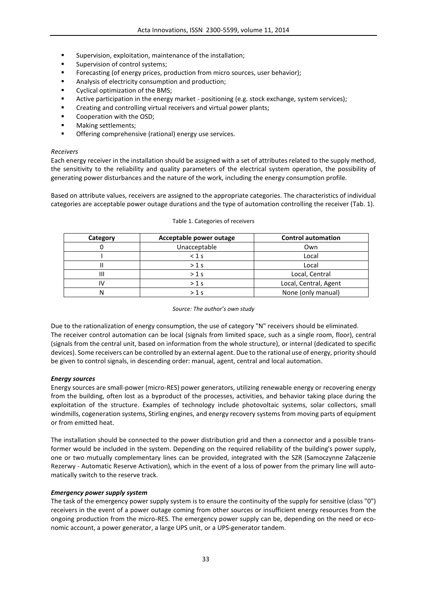- Supervision, exploitation, maintenance of the installation;
- Supervision of control systems;
- Forecasting (of energy prices, production from micro sources, user behavior);
- Analysis of electricity consumption and production;
- Cyclical optimization of the BMS;
- Active participation in the energy market positioning (e.g. stock exchange, system services);
- Creating and controlling virtual receivers and virtual power plants;
- Cooperation with the OSD;
- Making settlements;
- Offering comprehensive (rational) energy use services.

## *Receivers*

Each energy receiver in the installation should be assigned with a set of attributes related to the supply method, the sensitivity to the reliability and quality parameters of the electrical system operation, the possibility of generating power disturbances and the nature of the work, including the energy consumption profile.

Based on attribute values, receivers are assigned to the appropriate categories. The characteristics of individual categories are acceptable power outage durations and the type of automation controlling the receiver (Tab. 1).

| Category | Acceptable power outage | <b>Control automation</b> |
|----------|-------------------------|---------------------------|
|          | Unacceptable            | Own                       |
|          | $< 1$ s                 | Local                     |
|          | $>1$ s                  | Local                     |
|          | $>1$ s                  | Local, Central            |
|          | $>1$ s                  | Local, Central, Agent     |
|          | $>1$ s                  | None (only manual)        |

### Table 1. Categories of receivers

# *Source: The author's own study*

Due to the rationalization of energy consumption, the use of category "N" receivers should be eliminated. The receiver control automation can be local (signals from limited space, such as a single room, floor), central (signals from the central unit, based on information from the whole structure), or internal (dedicated to specific devices). Some receivers can be controlled by an external agent. Due to the rational use of energy, priority should be given to control signals, in descending order: manual, agent, central and local automation.

# *Energy sources*

Energy sources are small-power (micro-RES) power generators, utilizing renewable energy or recovering energy from the building, often lost as a byproduct of the processes, activities, and behavior taking place during the exploitation of the structure. Examples of technology include photovoltaic systems, solar collectors, small windmills, cogeneration systems, Stirling engines, and energy recovery systems from moving parts of equipment or from emitted heat.

The installation should be connected to the power distribution grid and then a connector and a possible transformer would be included in the system. Depending on the required reliability of the building's power supply, one or two mutually complementary lines can be provided, integrated with the SZR (Samoczynne Załączenie Rezerwy - Automatic Reserve Activation), which in the event of a loss of power from the primary line will automatically switch to the reserve track.

# *Emergency power supply system*

The task of the emergency power supply system is to ensure the continuity of the supply for sensitive (class "0") receivers in the event of a power outage coming from other sources or insufficient energy resources from the ongoing production from the micro-RES. The emergency power supply can be, depending on the need or economic account, a power generator, a large UPS unit, or a UPS-generator tandem.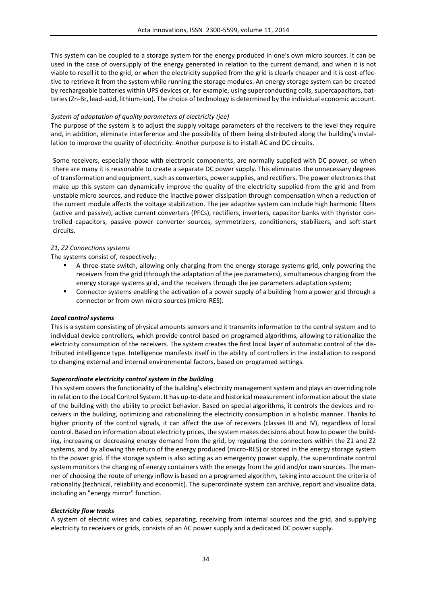This system can be coupled to a storage system for the energy produced in one's own micro sources. It can be used in the case of oversupply of the energy generated in relation to the current demand, and when it is not viable to resell it to the grid, or when the electricity supplied from the grid is clearly cheaper and it is cost-effective to retrieve it from the system while running the storage modules. An energy storage system can be created by rechargeable batteries within UPS devices or, for example, using superconducting coils, supercapacitors, batteries (Zn-Br, lead-acid, lithium-ion). The choice of technology is determined by the individual economic account.

### *System of adaptation of quality parameters of electricity (jee)*

The purpose of the system is to adjust the supply voltage parameters of the receivers to the level they require and, in addition, eliminate interference and the possibility of them being distributed along the building's installation to improve the quality of electricity. Another purpose is to install AC and DC circuits.

Some receivers, especially those with electronic components, are normally supplied with DC power, so when there are many it is reasonable to create a separate DC power supply. This eliminates the unnecessary degrees of transformation and equipment, such as converters, power supplies, and rectifiers. The power electronics that make up this system can dynamically improve the quality of the electricity supplied from the grid and from unstable micro sources, and reduce the inactive power dissipation through compensation when a reduction of the current module affects the voltage stabilization. The jee adaptive system can include high harmonic filters (active and passive), active current converters (PFCs), rectifiers, inverters, capacitor banks with thyristor controlled capacitors, passive power converter sources, symmetrizers, conditioners, stabilizers, and soft-start circuits.

### *Z1, Z2 Connections systems*

The systems consist of, respectively:

- A three-state switch, allowing only charging from the energy storage systems grid, only powering the receivers from the grid (through the adaptation of the jee parameters), simultaneous charging from the energy storage systems grid, and the receivers through the jee parameters adaptation system;
- Connector systems enabling the activation of a power supply of a building from a power grid through a connector or from own micro sources (micro-RES).

### *Local control systems*

This is a system consisting of physical amounts sensors and it transmits information to the central system and to individual device controllers, which provide control based on programed algorithms, allowing to rationalize the electricity consumption of the receivers. The system creates the first local layer of automatic control of the distributed intelligence type. Intelligence manifests itself in the ability of controllers in the installation to respond to changing external and internal environmental factors, based on programed settings.

### *Superordinate electricity control system in the building*

This system covers the functionality of the building's electricity management system and plays an overriding role in relation to the Local Control System. It has up-to-date and historical measurement information about the state of the building with the ability to predict behavior. Based on special algorithms, it controls the devices and receivers in the building, optimizing and rationalizing the electricity consumption in a holistic manner. Thanks to higher priority of the control signals, it can affect the use of receivers (classes III and IV), regardless of local control. Based on information about electricity prices, the system makes decisions about how to power the building, increasing or decreasing energy demand from the grid, by regulating the connectors within the Z1 and Z2 systems, and by allowing the return of the energy produced (micro-RES) or stored in the energy storage system to the power grid. If the storage system is also acting as an emergency power supply, the superordinate control system monitors the charging of energy containers with the energy from the grid and/or own sources. The manner of choosing the route of energy inflow is based on a programed algorithm, taking into account the criteria of rationality (technical, reliability and economic). The superordinate system can archive, report and visualize data, including an "energy mirror" function.

# *Electricity flow tracks*

A system of electric wires and cables, separating, receiving from internal sources and the grid, and supplying electricity to receivers or grids, consists of an AC power supply and a dedicated DC power supply.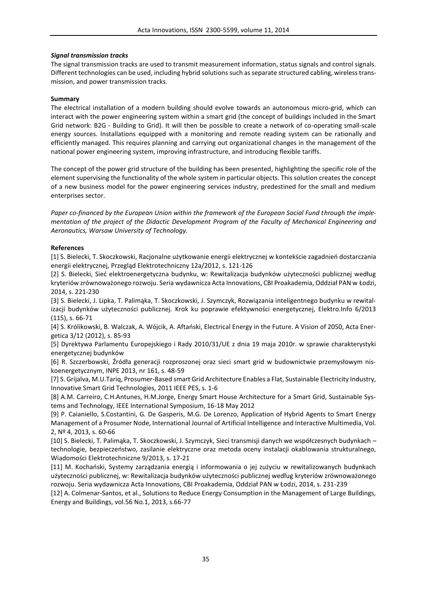### *Signal transmission tracks*

The signal transmission tracks are used to transmit measurement information, status signals and control signals. Different technologies can be used, including hybrid solutions such as separate structured cabling, wireless transmission, and power transmission tracks.

### **Summary**

The electrical installation of a modern building should evolve towards an autonomous micro-grid, which can interact with the power engineering system within a smart grid (the concept of buildings included in the Smart Grid network: B2G - Building to Grid). It will then be possible to create a network of co-operating small-scale energy sources. Installations equipped with a monitoring and remote reading system can be rationally and efficiently managed. This requires planning and carrying out organizational changes in the management of the national power engineering system, improving infrastructure, and introducing flexible tariffs.

The concept of the power grid structure of the building has been presented, highlighting the specific role of the element supervising the functionality of the whole system in particular objects. This solution creates the concept of a new business model for the power engineering services industry, predestined for the small and medium enterprises sector.

*Paper co-financed by the European Union within the framework of the European Social Fund through the implementation of the project of the Didactic Development Program of the Faculty of Mechanical Engineering and Aeronautics, Warsaw University of Technology.*

### **References**

[1] S. Bielecki, T. Skoczkowski, Racjonalne użytkowanie energii elektrycznej w kontekście zagadnień dostarczania energii elektrycznej, Przegląd Elektrotechniczny 12a/2012, s. 121-126

[2] S. Bielecki, Sieć elektroenergetyczna budynku, w: Rewitalizacja budynków użyteczności publicznej według kryteriów zrównoważonego rozwoju. Seria wydawnicza Acta Innovations, CBI Proakademia, Oddział PAN w Łodzi, 2014, s. 221-230

[3] S. Bielecki, J. Lipka, T. Palimąka, T. Skoczkowski, J. Szymczyk, Rozwiązania inteligentnego budynku w rewitalizacji budynków użyteczności publicznej. Krok ku poprawie efektywności energetycznej, Elektro.Info 6/2013 (115), s. 66-71

[4] S. Królikowski, B. Walczak, A. Wójcik, A. Aftański, Electrical Energy in the Future. A Vision of 2050, Acta Energetica 3/12 (2012), s. 85-93

[5] Dyrektywa Parlamentu Europejskiego i Rady 2010/31/UE z dnia 19 maja 2010r. w sprawie charakterystyki energetycznej budynków

[6] R. Szczerbowski, Źródła generacji rozproszonej oraz sieci smart grid w budownictwie przemysłowym niskoenergetycznym, INPE 2013, nr 161, s. 48-59

[7] S. Grijalva, M.U.Tariq, Prosumer-Based smart Grid Architecture Enables a Flat, Sustainable Electricity Industry, Innovative Smart Grid Technologies, 2011 IEEE PES, s. 1-6

[8] A.M. Carreiro, C.H.Antunes, H.M.Jorge, Energy Smart House Architecture for a Smart Grid, Sustainable Systems and Technology, IEEE International Symposium, 16-18 May 2012

[9] P. Caianiello, S.Costantini, G. De Gasperis, M.G. De Lorenzo, Application of Hybrid Agents to Smart Energy Management of a Prosumer Node, International Journal of Artificial Intelligence and Interactive Multimedia, Vol. 2, Nº 4, 2013, s. 60-66

[10] S. Bielecki, T. Palimąka, T. Skoczkowski, J. Szymczyk, Sieci transmisji danych we współczesnych budynkach – technologie, bezpieczeństwo, zasilanie elektryczne oraz metoda oceny instalacji okablowania strukturalnego, Wiadomości Elektrotechniczne 9/2013, s. 17-21

[11] M. Kochański, Systemy zarządzania energią i informowania o jej zużyciu w rewitalizowanych budynkach użyteczności publicznej, w: Rewitalizacja budynków użyteczności publicznej według kryteriów zrównoważonego rozwoju. Seria wydawnicza Acta Innovations, CBI Proakademia, Oddział PAN w Łodzi, 2014, s. 231-239

[12] A. Colmenar-Santos, et al., Solutions to Reduce Energy Consumption in the Management of Large Buildings, Energy and Buildings, vol.56 No.1, 2013, s.66-77